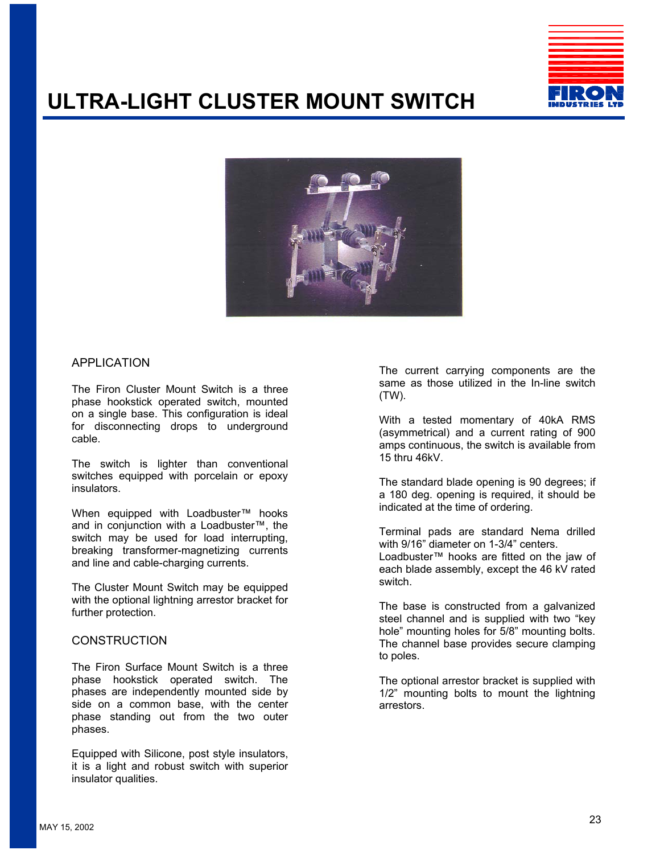

# **ULTRA-LIGHT CLUSTER MOUNT SWITCH**



### APPLICATION

The Firon Cluster Mount Switch is a three phase hookstick operated switch, mounted on a single base. This configuration is ideal for disconnecting drops to underground cable.

The switch is lighter than conventional switches equipped with porcelain or epoxy insulators.

When equipped with Loadbuster™ hooks and in conjunction with a Loadbuster™, the switch may be used for load interrupting, breaking transformer-magnetizing currents and line and cable-charging currents.

The Cluster Mount Switch may be equipped with the optional lightning arrestor bracket for further protection.

### **CONSTRUCTION**

The Firon Surface Mount Switch is a three phase hookstick operated switch. The phases are independently mounted side by side on a common base, with the center phase standing out from the two outer phases.

Equipped with Silicone, post style insulators, it is a light and robust switch with superior insulator qualities.

The current carrying components are the same as those utilized in the In-line switch (TW).

With a tested momentary of 40kA RMS (asymmetrical) and a current rating of 900 amps continuous, the switch is available from 15 thru 46kV.

The standard blade opening is 90 degrees; if a 180 deg. opening is required, it should be indicated at the time of ordering.

Terminal pads are standard Nema drilled with 9/16" diameter on 1-3/4" centers.

Loadbuster™ hooks are fitted on the jaw of each blade assembly, except the 46 kV rated switch.

The base is constructed from a galvanized steel channel and is supplied with two "key hole" mounting holes for 5/8" mounting bolts. The channel base provides secure clamping to poles.

The optional arrestor bracket is supplied with 1/2" mounting bolts to mount the lightning arrestors.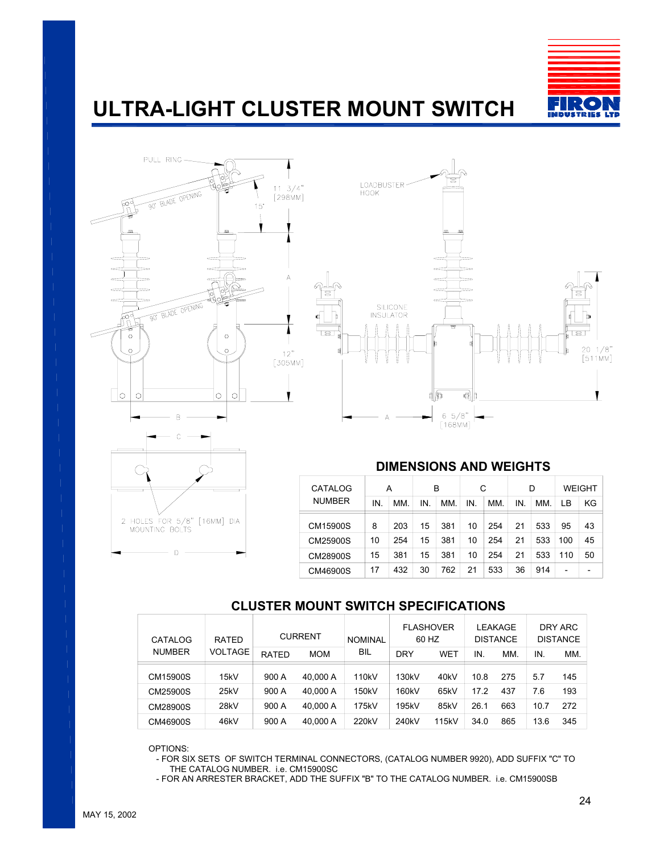

# **ULTRA-LIGHT CLUSTER MOUNT SWITCH**







## **DIMENSIONS AND WEIGHTS**

| CATALOG<br><b>NUMBER</b> | A  |     | B   |     | С   |     | D   |     | <b>WEIGHT</b> |    |
|--------------------------|----|-----|-----|-----|-----|-----|-----|-----|---------------|----|
|                          | ΙN | MM. | IN. | MM. | IN. | MM. | IN. | MM. | LВ            | ΚG |
| CM15900S                 | 8  | 203 | 15  | 381 | 10  | 254 | 21  | 533 | 95            | 43 |
| CM25900S                 | 10 | 254 | 15  | 381 | 10  | 254 | 21  | 533 | 100           | 45 |
| CM28900S                 | 15 | 381 | 15  | 381 | 10  | 254 | 21  | 533 | 110           | 50 |
| CM46900S                 | 17 | 432 | 30  | 762 | 21  | 533 | 36  | 914 |               |    |

## **CLUSTER MOUNT SWITCH SPECIFICATIONS**

| CATALOG<br><b>NUMBER</b> | RATED          | <b>CURRENT</b> |            | <b>NOMINAL</b> | <b>FLASHOVER</b><br>60 HZ |                   | LEAKAGE<br><b>DISTANCE</b> |     | DRY ARC<br><b>DISTANCE</b> |     |
|--------------------------|----------------|----------------|------------|----------------|---------------------------|-------------------|----------------------------|-----|----------------------------|-----|
|                          | <b>VOLTAGE</b> | RATED          | <b>MOM</b> | BIL            | <b>DRY</b>                | WET               | IN.                        | MM. | IN.                        | MM. |
| CM15900S                 | 15kV           | 900 A          | 40.000 A   | 110kV          | 130kV                     | 40 <sub>k</sub> V | 10.8                       | 275 | 5.7                        | 145 |
| CM25900S                 | 25kV           | 900 A          | 40.000 A   | 150kV          | 160kV                     | 65kV              | 17.2                       | 437 | 7.6                        | 193 |
| CM28900S                 | 28kV           | 900 A          | 40.000 A   | 175kV          | 195kV                     | 85kV              | 26.1                       | 663 | 10.7                       | 272 |
| CM46900S                 | 46kV           | 900 A          | 40.000 A   | 220kV          | 240kV                     | 115kV             | 34.0                       | 865 | 13.6                       | 345 |

OPTIONS:

- FOR SIX SETS OF SWITCH TERMINAL CONNECTORS, (CATALOG NUMBER 9920), ADD SUFFIX "C" TO THE CATALOG NUMBER. i.e. CM15900SC
- FOR AN ARRESTER BRACKET, ADD THE SUFFIX "B" TO THE CATALOG NUMBER. i.e. CM15900SB